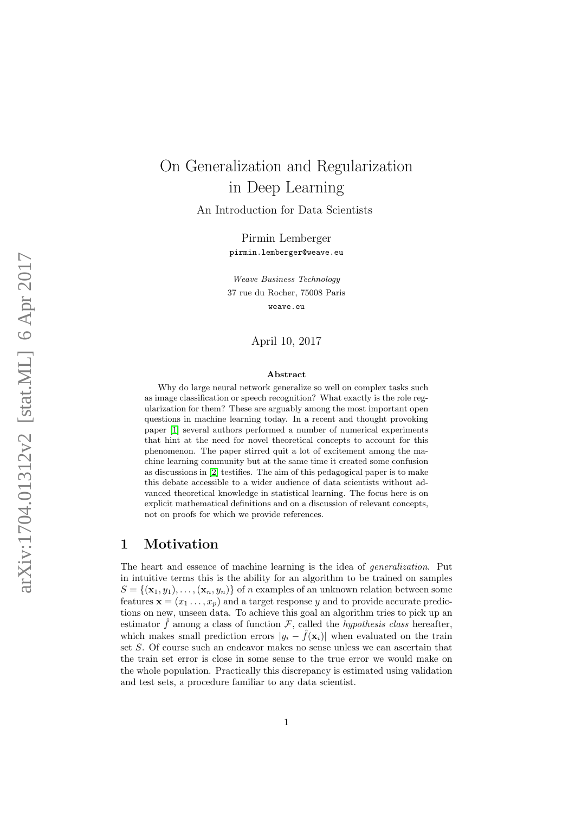# On Generalization and Regularization in Deep Learning

An Introduction for Data Scientists

Pirmin Lemberger pirmin.lemberger@weave.eu

Weave Business Technology 37 rue du Rocher, 75008 Paris weave.eu

April 10, 2017

#### Abstract

Why do large neural network generalize so well on complex tasks such as image classification or speech recognition? What exactly is the role regularization for them? These are arguably among the most important open questions in machine learning today. In a recent and thought provoking paper [\[1\]](#page-10-0) several authors performed a number of numerical experiments that hint at the need for novel theoretical concepts to account for this phenomenon. The paper stirred quit a lot of excitement among the machine learning community but at the same time it created some confusion as discussions in [\[2\]](#page-10-1) testifies. The aim of this pedagogical paper is to make this debate accessible to a wider audience of data scientists without advanced theoretical knowledge in statistical learning. The focus here is on explicit mathematical definitions and on a discussion of relevant concepts, not on proofs for which we provide references.

### 1 Motivation

The heart and essence of machine learning is the idea of generalization. Put in intuitive terms this is the ability for an algorithm to be trained on samples  $S = \{(\mathbf{x}_1, y_1), \ldots, (\mathbf{x}_n, y_n)\}\$  of n examples of an unknown relation between some features  $\mathbf{x} = (x_1 \dots, x_p)$  and a target response y and to provide accurate predictions on new, unseen data. To achieve this goal an algorithm tries to pick up an estimator  $\hat{f}$  among a class of function  $\mathcal{F}$ , called the *hypothesis class* hereafter, which makes small prediction errors  $|y_i - f(\mathbf{x}_i)|$  when evaluated on the train set S. Of course such an endeavor makes no sense unless we can ascertain that the train set error is close in some sense to the true error we would make on the whole population. Practically this discrepancy is estimated using validation and test sets, a procedure familiar to any data scientist.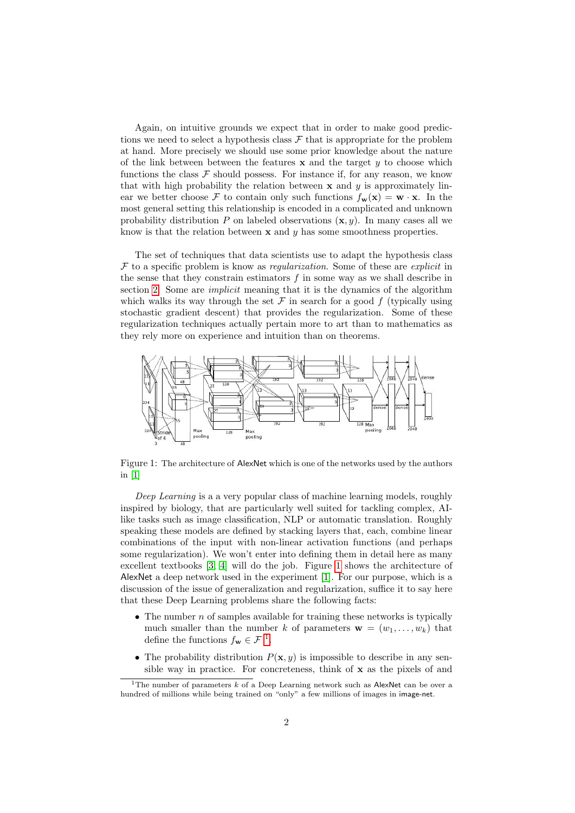Again, on intuitive grounds we expect that in order to make good predictions we need to select a hypothesis class  $\mathcal F$  that is appropriate for the problem at hand. More precisely we should use some prior knowledge about the nature of the link between between the features  $x$  and the target  $y$  to choose which functions the class  $\mathcal F$  should possess. For instance if, for any reason, we know that with high probability the relation between  $x$  and  $y$  is approximately linear we better choose F to contain only such functions  $f_{\mathbf{w}}(\mathbf{x}) = \mathbf{w} \cdot \mathbf{x}$ . In the most general setting this relationship is encoded in a complicated and unknown probability distribution P on labeled observations  $(\mathbf{x}, y)$ . In many cases all we know is that the relation between  $x$  and  $y$  has some smoothness properties.

The set of techniques that data scientists use to adapt the hypothesis class  $F$  to a specific problem is know as *regularization*. Some of these are *explicit* in the sense that they constrain estimators  $f$  in some way as we shall describe in section [2.](#page-2-0) Some are *implicit* meaning that it is the dynamics of the algorithm which walks its way through the set  $\mathcal F$  in search for a good  $f$  (typically using stochastic gradient descent) that provides the regularization. Some of these regularization techniques actually pertain more to art than to mathematics as they rely more on experience and intuition than on theorems.



<span id="page-1-0"></span>Figure 1: The architecture of AlexNet which is one of the networks used by the authors in [\[1\]](#page-10-0)

Deep Learning is a a very popular class of machine learning models, roughly inspired by biology, that are particularly well suited for tackling complex, AIlike tasks such as image classification, NLP or automatic translation. Roughly speaking these models are defined by stacking layers that, each, combine linear combinations of the input with non-linear activation functions (and perhaps some regularization). We won't enter into defining them in detail here as many excellent textbooks [\[3,](#page-10-2) [4\]](#page-10-3) will do the job. Figure [1](#page-1-0) shows the architecture of AlexNet a deep network used in the experiment [\[1\]](#page-10-0). For our purpose, which is a discussion of the issue of generalization and regularization, suffice it to say here that these Deep Learning problems share the following facts:

- The number  $n$  of samples available for training these networks is typically much smaller than the number k of parameters  $\mathbf{w} = (w_1, \ldots, w_k)$  that define the functions  $f_{\mathbf{w}} \in \mathcal{F}^{-1}$  $f_{\mathbf{w}} \in \mathcal{F}^{-1}$  $f_{\mathbf{w}} \in \mathcal{F}^{-1}$ .
- The probability distribution  $P(\mathbf{x}, y)$  is impossible to describe in any sensible way in practice. For concreteness, think of x as the pixels of and

<span id="page-1-1"></span><sup>&</sup>lt;sup>1</sup>The number of parameters  $k$  of a Deep Learning network such as AlexNet can be over a hundred of millions while being trained on "only" a few millions of images in image-net.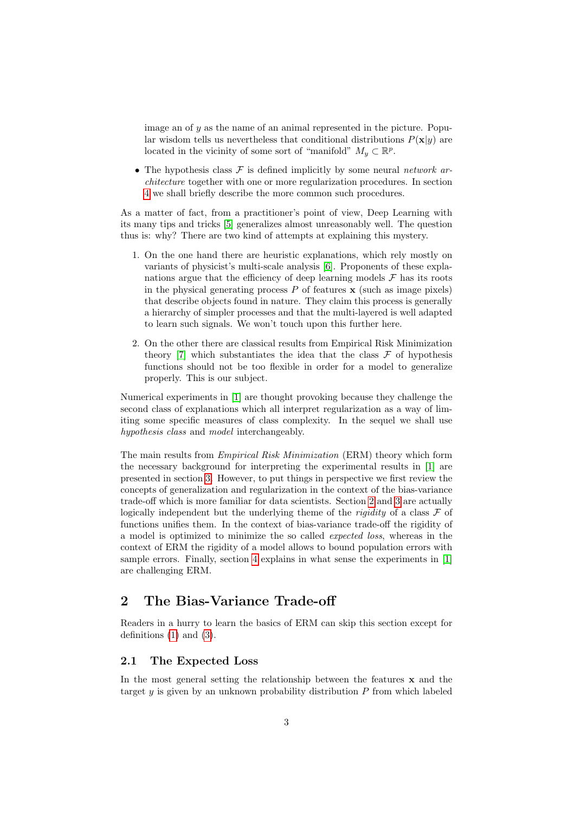image an of  $y$  as the name of an animal represented in the picture. Popular wisdom tells us nevertheless that conditional distributions  $P(\mathbf{x}|y)$  are located in the vicinity of some sort of "manifold"  $M_y \subset \mathbb{R}^p$ .

• The hypothesis class  $\mathcal F$  is defined implicitly by some neural *network* architecture together with one or more regularization procedures. In section [4](#page-8-0) we shall briefly describe the more common such procedures.

As a matter of fact, from a practitioner's point of view, Deep Learning with its many tips and tricks [\[5\]](#page-10-4) generalizes almost unreasonably well. The question thus is: why? There are two kind of attempts at explaining this mystery.

- 1. On the one hand there are heuristic explanations, which rely mostly on variants of physicist's multi-scale analysis [\[6\]](#page-10-5). Proponents of these explanations argue that the efficiency of deep learning models  $\mathcal F$  has its roots in the physical generating process  $P$  of features  $x$  (such as image pixels) that describe objects found in nature. They claim this process is generally a hierarchy of simpler processes and that the multi-layered is well adapted to learn such signals. We won't touch upon this further here.
- 2. On the other there are classical results from Empirical Risk Minimization theory [\[7\]](#page-10-6) which substantiates the idea that the class  $\mathcal F$  of hypothesis functions should not be too flexible in order for a model to generalize properly. This is our subject.

Numerical experiments in [\[1\]](#page-10-0) are thought provoking because they challenge the second class of explanations which all interpret regularization as a way of limiting some specific measures of class complexity. In the sequel we shall use hypothesis class and model interchangeably.

The main results from *Empirical Risk Minimization* (ERM) theory which form the necessary background for interpreting the experimental results in [\[1\]](#page-10-0) are presented in section [3.](#page-6-0) However, to put things in perspective we first review the concepts of generalization and regularization in the context of the bias-variance trade-off which is more familiar for data scientists. Section [2](#page-2-0) and [3](#page-6-0) are actually logically independent but the underlying theme of the *rigidity* of a class  $\mathcal F$  of functions unifies them. In the context of bias-variance trade-off the rigidity of a model is optimized to minimize the so called expected loss, whereas in the context of ERM the rigidity of a model allows to bound population errors with sample errors. Finally, section [4](#page-8-0) explains in what sense the experiments in [\[1\]](#page-10-0) are challenging ERM.

# <span id="page-2-0"></span>2 The Bias-Variance Trade-off

Readers in a hurry to learn the basics of ERM can skip this section except for definitions [\(1\)](#page-3-0) and [\(3\)](#page-3-1).

### 2.1 The Expected Loss

In the most general setting the relationship between the features  $x$  and the target  $y$  is given by an unknown probability distribution  $P$  from which labeled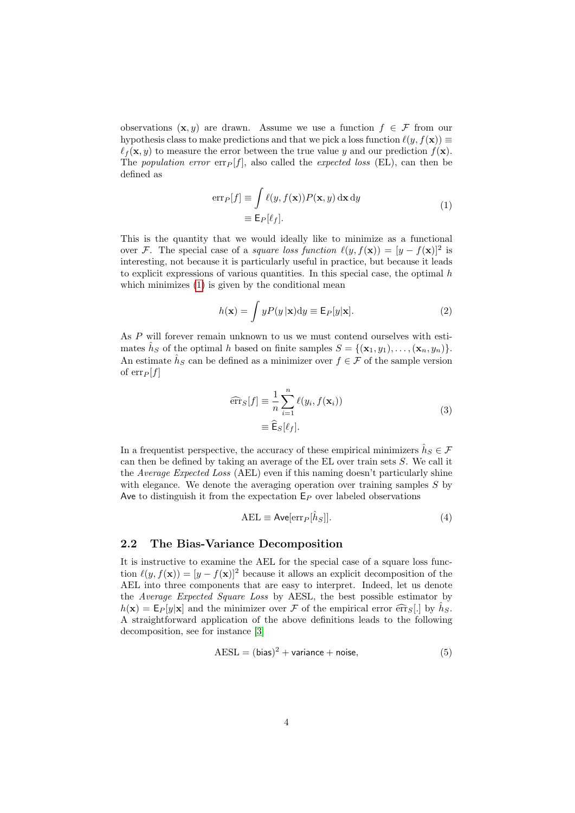observations  $(x, y)$  are drawn. Assume we use a function  $f \in \mathcal{F}$  from our hypothesis class to make predictions and that we pick a loss function  $\ell(y, f(\mathbf{x})) \equiv$  $\ell_f(\mathbf{x}, y)$  to measure the error between the true value y and our prediction  $f(\mathbf{x})$ . The population error  $\text{err}_{P}[f]$ , also called the expected loss (EL), can then be defined as

$$
\begin{aligned} \n\text{err}_P[f] &\equiv \int \ell(y, f(\mathbf{x})) P(\mathbf{x}, y) \, \mathrm{d}\mathbf{x} \, \mathrm{d}y \\ \n&\equiv \mathsf{E}_P[\ell_f]. \n\end{aligned} \tag{1}
$$

<span id="page-3-0"></span>This is the quantity that we would ideally like to minimize as a functional over F. The special case of a square loss function  $\ell(y, f(\mathbf{x})) = [y - f(\mathbf{x})]^2$  is interesting, not because it is particularly useful in practice, but because it leads to explicit expressions of various quantities. In this special case, the optimal  $h$ which minimizes [\(1\)](#page-3-0) is given by the conditional mean

$$
h(\mathbf{x}) = \int yP(y|\mathbf{x})dy \equiv \mathsf{E}_P[y|\mathbf{x}].
$$
 (2)

As P will forever remain unknown to us we must contend ourselves with estimates  $\hat{h}_S$  of the optimal h based on finite samples  $S = \{(\mathbf{x}_1, y_1), \dots, (\mathbf{x}_n, y_n)\}.$ An estimate  $\hat{h}_S$  can be defined as a minimizer over  $f \in \mathcal{F}$  of the sample version of  $\mathrm{err}_P[f]$ 

$$
\widehat{\text{err}}_S[f] \equiv \frac{1}{n} \sum_{i=1}^n \ell(y_i, f(\mathbf{x}_i))
$$
  

$$
\equiv \widehat{\mathsf{E}}_S[\ell_f].
$$
 (3)

<span id="page-3-1"></span>In a frequentist perspective, the accuracy of these empirical minimizers  $\hat{h}_S \in \mathcal{F}$ can then be defined by taking an average of the EL over train sets S. We call it the Average Expected Loss (AEL) even if this naming doesn't particularly shine with elegance. We denote the averaging operation over training samples  $S$  by Ave to distinguish it from the expectation  $E_P$  over labeled observations

<span id="page-3-3"></span>
$$
AEL \equiv Ave[err_P[\hat{h}_S]]. \tag{4}
$$

### 2.2 The Bias-Variance Decomposition

It is instructive to examine the AEL for the special case of a square loss function  $\ell(y, f(\mathbf{x})) = [y - f(\mathbf{x})]^2$  because it allows an explicit decomposition of the AEL into three components that are easy to interpret. Indeed, let us denote the Average Expected Square Loss by AESL, the best possible estimator by  $h(\mathbf{x}) = \mathbb{E}_P[y|\mathbf{x}]$  and the minimizer over F of the empirical error  $\hat{\text{err}}_S[\cdot]$  by  $\hat{h}_S$ . A straightforward application of the above definitions leads to the following decomposition, see for instance [\[3\]](#page-10-2)

<span id="page-3-2"></span>
$$
AESL = (bias)^2 + variance + noise,
$$
\n(5)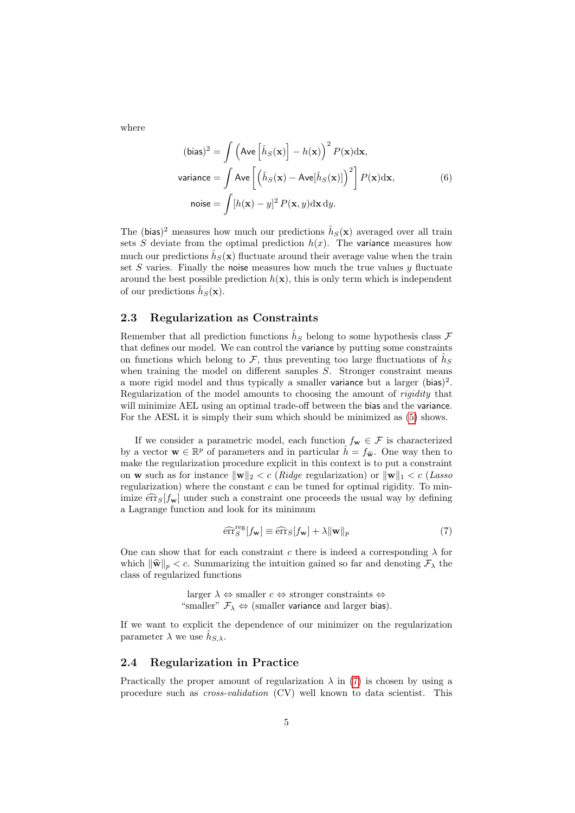where

$$
(\text{bias})^2 = \int (\text{Ave} \left[\hat{h}_S(\mathbf{x})\right] - h(\mathbf{x}))^2 P(\mathbf{x}) d\mathbf{x},
$$
  
variance = 
$$
\int \text{Ave} \left[\left(\hat{h}_S(\mathbf{x}) - \text{Ave}[\hat{h}_S(\mathbf{x})]\right)^2\right] P(\mathbf{x}) d\mathbf{x},
$$
  
noise = 
$$
\int [h(\mathbf{x}) - y]^2 P(\mathbf{x}, y) d\mathbf{x} dy.
$$
 (6)

The (bias)<sup>2</sup> measures how much our predictions  $\hat{h}_S(\mathbf{x})$  averaged over all train sets S deviate from the optimal prediction  $h(x)$ . The variance measures how much our predictions  $\hat{h}_S(\mathbf{x})$  fluctuate around their average value when the train set  $S$  varies. Finally the noise measures how much the true values  $y$  fluctuate around the best possible prediction  $h(\mathbf{x})$ , this is only term which is independent of our predictions  $\hat{h}_S(\mathbf{x})$ .

### <span id="page-4-1"></span>2.3 Regularization as Constraints

Remember that all prediction functions  $\hat{h}_S$  belong to some hypothesis class  $\mathcal F$ that defines our model. We can control the variance by putting some constraints on functions which belong to  $\mathcal{F}$ , thus preventing too large fluctuations of  $\hat{h}_S$ when training the model on different samples  $S$ . Stronger constraint means a more rigid model and thus typically a smaller variance but a larger  $(bias)^2$ . Regularization of the model amounts to choosing the amount of rigidity that will minimize AEL using an optimal trade-off between the bias and the variance. For the AESL it is simply their sum which should be minimized as [\(5\)](#page-3-2) shows.

If we consider a parametric model, each function  $f_w \in \mathcal{F}$  is characterized by a vector  $\mathbf{w} \in \mathbb{R}^p$  of parameters and in particular  $\hat{h} = f_{\hat{\mathbf{w}}}$ . One way then to make the regularization procedure explicit in this context is to put a constraint on **w** such as for instance  $\|\mathbf{w}\|_2 < c$  (*Ridge* regularization) or  $\|\mathbf{w}\|_1 < c$  (*Lasso*) regularization) where the constant  $c$  can be tuned for optimal rigidity. To minimize  $\widehat{\text{err}}_{\mathcal{S}}[f_{\mathbf{w}}]$  under such a constraint one proceeds the usual way by defining a Lagrange function and look for its minimum

<span id="page-4-0"></span>
$$
\widehat{\text{err}}_{S}^{\text{reg}}[f_{\mathbf{w}}] \equiv \widehat{\text{err}}_{S}[f_{\mathbf{w}}] + \lambda \|\mathbf{w}\|_{p} \tag{7}
$$

One can show that for each constraint c there is indeed a corresponding  $\lambda$  for which  $\|\widehat{\mathbf{w}}\|_p < c$ . Summarizing the intuition gained so far and denoting  $\mathcal{F}_{\lambda}$  the class of regularized functions

> larger  $\lambda \Leftrightarrow$  smaller  $c \Leftrightarrow$  stronger constraints  $\Leftrightarrow$ "smaller"  $\mathcal{F}_{\lambda} \Leftrightarrow$  (smaller variance and larger bias).

If we want to explicit the dependence of our minimizer on the regularization parameter  $\lambda$  we use  $\hat{h}_{S,\lambda}$ .

#### 2.4 Regularization in Practice

Practically the proper amount of regularization  $\lambda$  in [\(7\)](#page-4-0) is chosen by using a procedure such as cross-validation (CV) well known to data scientist. This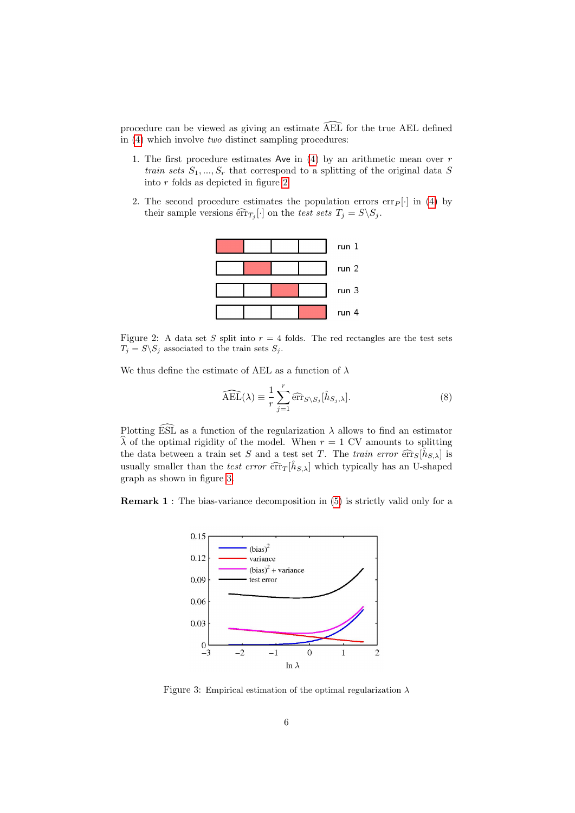procedure can be viewed as giving an estimate  $\widehat{AEL}$  for the true  $AEL$  defined in [\(4\)](#page-3-3) which involve two distinct sampling procedures:

- 1. The first procedure estimates Ave in  $(4)$  by an arithmetic mean over r train sets  $S_1, ..., S_r$  that correspond to a splitting of the original data S into r folds as depicted in figure [2.](#page-5-0)
- 2. The second procedure estimates the population errors  $err_P[\cdot]$  in [\(4\)](#page-3-3) by their sample versions  $\widehat{\text{err}}_{T_j}[\cdot]$  on the test sets  $T_j = S \setminus S_j$ .



<span id="page-5-0"></span>Figure 2: A data set S split into  $r = 4$  folds. The red rectangles are the test sets  $T_j = S \backslash S_j$  associated to the train sets  $S_j$ .

We thus define the estimate of AEL as a function of  $\lambda$ 

$$
\widehat{\text{AEL}}(\lambda) \equiv \frac{1}{r} \sum_{j=1}^{r} \widehat{\text{err}}_{S \setminus S_j} [\hat{h}_{S_j,\lambda}]. \tag{8}
$$

Plotting  $\widehat{\text{ESL}}$  as a function of the regularization  $\lambda$  allows to find an estimator  $\widehat{\lambda}$  of the optimal rigidity of the model. When  $r = 1$  CV amounts to splitting the data between a train set S and a test set T. The *train error*  $\widehat{\text{err}}_S[\hat{h}_{S,\lambda}]$  is usually smaller than the *test error*  $\widehat{err}_{T}[\hat{h}_{S,\lambda}]$  which typically has an U-shaped<br>graph as shown in figure 3 graph as shown in figure [3.](#page-5-1)

**Remark 1**: The bias-variance decomposition in [\(5\)](#page-3-2) is strictly valid only for a



<span id="page-5-1"></span>Figure 3: Empirical estimation of the optimal regularization  $\lambda$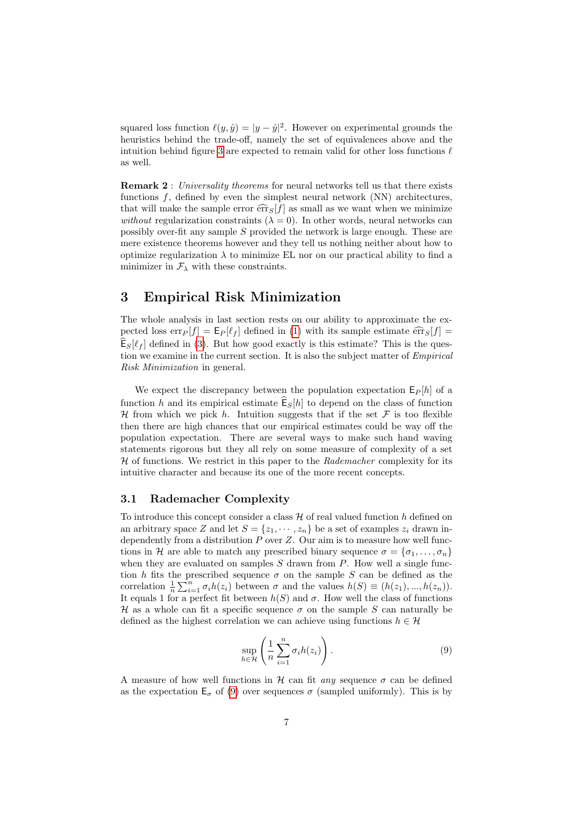squared loss function  $\ell(y, \hat{y}) = |y - \hat{y}|^2$ . However on experimental grounds the heuristics behind the trade-off, namely the set of equivalences above and the intuition behind figure [3](#page-5-1) are expected to remain valid for other loss functions  $\ell$ as well.

Remark 2 : Universality theorems for neural networks tell us that there exists functions  $f$ , defined by even the simplest neural network  $(NN)$  architectures, that will make the sample error  $\widehat{\text{err}}_S[f]$  as small as we want when we minimize without regularization constraints  $(\lambda = 0)$ . In other words, neural networks can possibly over-fit any sample S provided the network is large enough. These are mere existence theorems however and they tell us nothing neither about how to optimize regularization  $\lambda$  to minimize EL nor on our practical ability to find a minimizer in  $\mathcal{F}_{\lambda}$  with these constraints.

# <span id="page-6-0"></span>3 Empirical Risk Minimization

The whole analysis in last section rests on our ability to approximate the expected loss  $\text{err}_P[f] = \mathsf{E}_P[\ell_f]$  defined in [\(1\)](#page-3-0) with its sample estimate  $\widehat{\text{err}}_S[f]$  $\widehat{\mathsf{E}}_S[\ell_f]$  defined in [\(3\)](#page-3-1). But how good exactly is this estimate? This is the question we examine in the current section. It is also the subject matter of Empirical Risk Minimization in general.

We expect the discrepancy between the population expectation  $E_P[h]$  of a function h and its empirical estimate  $\hat{\mathsf{E}}_S[h]$  to depend on the class of function H from which we pick h. Intuition suggests that if the set F is too flexible then there are high chances that our empirical estimates could be way off the population expectation. There are several ways to make such hand waving statements rigorous but they all rely on some measure of complexity of a set  $H$  of functions. We restrict in this paper to the Rademacher complexity for its intuitive character and because its one of the more recent concepts.

### 3.1 Rademacher Complexity

To introduce this concept consider a class  $\mathcal H$  of real valued function h defined on an arbitrary space Z and let  $S = \{z_1, \dots, z_n\}$  be a set of examples  $z_i$  drawn independently from a distribution  $P$  over  $Z$ . Our aim is to measure how well functions in H are able to match any prescribed binary sequence  $\sigma = {\sigma_1, \ldots, \sigma_n}$ when they are evaluated on samples  $S$  drawn from  $P$ . How well a single function h fits the prescribed sequence  $\sigma$  on the sample S can be defined as the correlation  $\frac{1}{n} \sum_{i=1}^n \sigma_i h(z_i)$  between  $\sigma$  and the values  $h(S) \equiv (h(z_1), ..., h(z_n)).$ It equals 1 for a perfect fit between  $h(S)$  and  $\sigma$ . How well the class of functions H as a whole can fit a specific sequence  $\sigma$  on the sample S can naturally be defined as the highest correlation we can achieve using functions  $h \in \mathcal{H}$ 

<span id="page-6-1"></span>
$$
\sup_{h \in \mathcal{H}} \left( \frac{1}{n} \sum_{i=1}^{n} \sigma_i h(z_i) \right). \tag{9}
$$

A measure of how well functions in  $\mathcal H$  can fit any sequence  $\sigma$  can be defined as the expectation  $E_{\sigma}$  of [\(9\)](#page-6-1) over sequences  $\sigma$  (sampled uniformly). This is by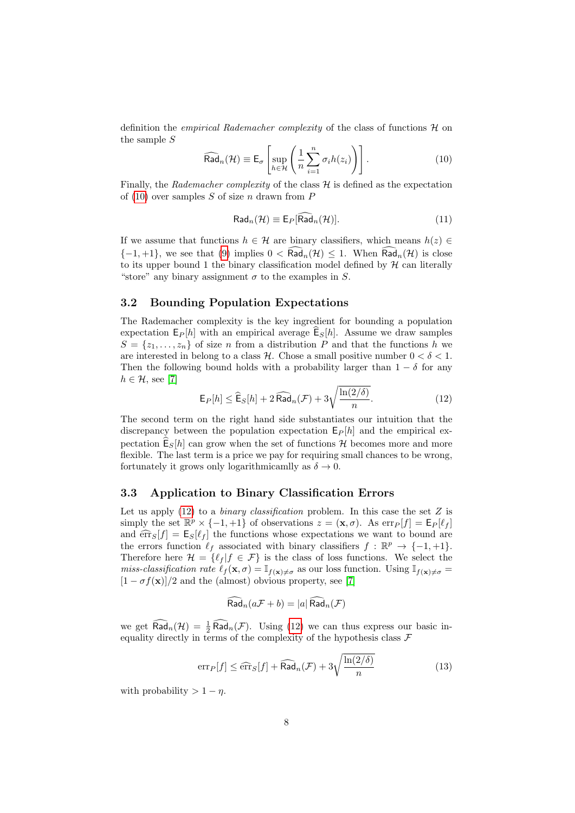definition the *empirical Rademacher complexity* of the class of functions  $H$  on the sample S

<span id="page-7-0"></span>
$$
\widehat{\text{Rad}}_n(\mathcal{H}) \equiv \mathsf{E}_{\sigma} \left[ \sup_{h \in \mathcal{H}} \left( \frac{1}{n} \sum_{i=1}^n \sigma_i h(z_i) \right) \right]. \tag{10}
$$

Finally, the Rademacher complexity of the class  $H$  is defined as the expectation of  $(10)$  over samples S of size n drawn from P

$$
\text{Rad}_n(\mathcal{H}) \equiv \mathsf{E}_P[\bar{\mathsf{Rad}}_n(\mathcal{H})].\tag{11}
$$

If we assume that functions  $h \in \mathcal{H}$  are binary classifiers, which means  $h(z) \in$  ${-1,+1}$ , we see that [\(9\)](#page-6-1) implies  $0 < \widehat{\text{Rad}}_n(\mathcal{H}) \leq 1$ . When  $\widehat{\text{Rad}}_n(\mathcal{H})$  is close to its upper bound 1 the binary classification model defined by  $H$  can literally "store" any binary assignment  $\sigma$  to the examples in S.

### 3.2 Bounding Population Expectations

The Rademacher complexity is the key ingredient for bounding a population expectation  $E_P[h]$  with an empirical average  $E_S[h]$ . Assume we draw samples  $S = \{z_1, \ldots, z_n\}$  of size n from a distribution P and that the functions h we are interested in belong to a class  $H$ . Chose a small positive number  $0 < \delta < 1$ . Then the following bound holds with a probability larger than  $1 - \delta$  for any  $h \in \mathcal{H}$ , see [\[7\]](#page-10-6)

<span id="page-7-1"></span>
$$
\mathsf{E}_P[h] \le \widehat{\mathsf{E}}_S[h] + 2\widehat{\mathsf{Rad}}_n(\mathcal{F}) + 3\sqrt{\frac{\ln(2/\delta)}{n}}.\tag{12}
$$

The second term on the right hand side substantiates our intuition that the discrepancy between the population expectation  $E_P[h]$  and the empirical expectation  $\widehat{\mathsf{E}}_S[h]$  can grow when the set of functions H becomes more and more flexible. The last term is a price we pay for requiring small chances to be wrong, fortunately it grows only logarithmicamlly as  $\delta \rightarrow 0$ .

#### 3.3 Application to Binary Classification Errors

Let us apply  $(12)$  to a *binary classification* problem. In this case the set Z is simply the set  $\mathbb{R}^p \times \{-1,+1\}$  of observations  $z = (\mathbf{x}, \sigma)$ . As  $\exp[f] = \mathsf{E}_P[\ell_f]$ and  $\widehat{\text{err}}_S[f] = \mathsf{E}_S[\ell_f]$  the functions whose expectations we want to bound are the errors function  $\ell_f$  associated with binary classifiers  $f : \mathbb{R}^p \to \{-1, +1\}.$ Therefore here  $\mathcal{H} = \{ \ell_f | f \in \mathcal{F} \}$  is the class of loss functions. We select the *miss-classification rate*  $\ell_f (\mathbf{x}, \sigma) = \mathbb{I}_{f(\mathbf{x})\neq \sigma}$  as our loss function. Using  $\mathbb{I}_{f(\mathbf{x})\neq \sigma}$  $[1 - \sigma f(\mathbf{x})]/2$  and the (almost) obvious property, see [\[7\]](#page-10-6)

$$
\widehat{\text{Rad}}_n(a\mathcal{F}+b)=|a|\widehat{\text{Rad}}_n(\mathcal{F})
$$

we get  $\widehat{\text{Rad}}_n(\mathcal{H}) = \frac{1}{2} \widehat{\text{Rad}}_n(\mathcal{F})$ . Using [\(12\)](#page-7-1) we can thus express our basic inequality directly in terms of the complexity of the hypothesis class  $\mathcal F$ 

<span id="page-7-2"></span>
$$
\operatorname{err}_P[f] \le \widehat{\operatorname{err}}_S[f] + \widehat{\operatorname{Rad}}_n(\mathcal{F}) + 3\sqrt{\frac{\ln(2/\delta)}{n}}\tag{13}
$$

with probability  $> 1 - \eta$ .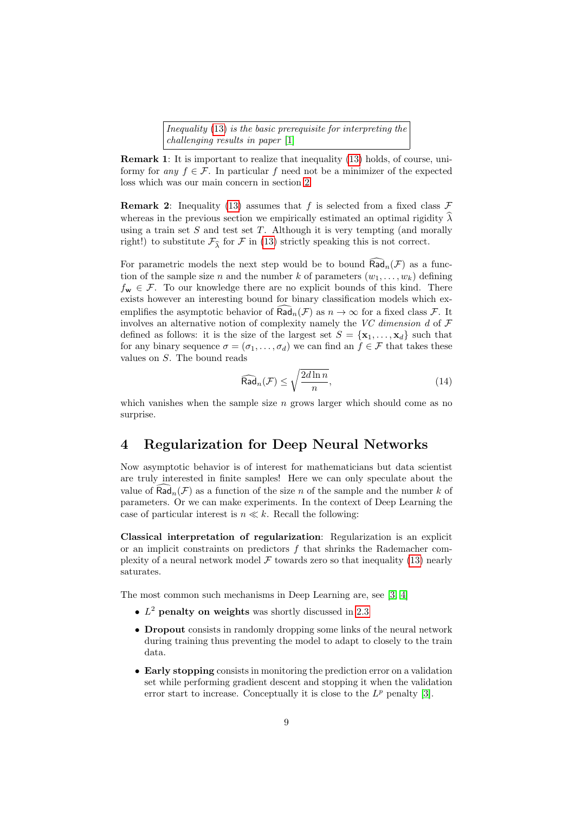Inequality [\(13\)](#page-7-2) is the basic prerequisite for interpreting the challenging results in paper [\[1\]](#page-10-0)

Remark 1: It is important to realize that inequality [\(13\)](#page-7-2) holds, of course, uniformy for any  $f \in \mathcal{F}$ . In particular f need not be a minimizer of the expected loss which was our main concern in section [2.](#page-2-0)

**Remark 2:** Inequality [\(13\)](#page-7-2) assumes that f is selected from a fixed class  $\mathcal{F}$ whereas in the previous section we empirically estimated an optimal rigidity  $\widehat{\lambda}$ using a train set  $S$  and test set  $T$ . Although it is very tempting (and morally right!) to substitute  $\mathcal{F}_{\hat{\lambda}}$  for F in [\(13\)](#page-7-2) strictly speaking this is not correct.

For parametric models the next step would be to bound  $\widehat{Rad}_n(\mathcal{F})$  as a function of the sample size n and the number k of parameters  $(w_1, \ldots, w_k)$  defining  $f_{\mathbf{w}} \in \mathcal{F}$ . To our knowledge there are no explicit bounds of this kind. There exists however an interesting bound for binary classification models which exemplifies the asymptotic behavior of  $\widehat{\text{Rad}}_n(\mathcal{F})$  as  $n \to \infty$  for a fixed class  $\mathcal{F}$ . It involves an alternative notion of complexity namely the VC dimension  $d$  of  $\mathcal F$ defined as follows: it is the size of the largest set  $S = {\mathbf{x}_1, \dots, \mathbf{x}_d}$  such that for any binary sequence  $\sigma = (\sigma_1, \ldots, \sigma_d)$  we can find an  $f \in \mathcal{F}$  that takes these values on S. The bound reads

<span id="page-8-1"></span>
$$
\widehat{\text{Rad}}_n(\mathcal{F}) \le \sqrt{\frac{2d\ln n}{n}},\tag{14}
$$

which vanishes when the sample size  $n$  grows larger which should come as no surprise.

### <span id="page-8-0"></span>4 Regularization for Deep Neural Networks

Now asymptotic behavior is of interest for mathematicians but data scientist are truly interested in finite samples! Here we can only speculate about the value of  $\overline{Rad}_n(\mathcal{F})$  as a function of the size n of the sample and the number k of parameters. Or we can make experiments. In the context of Deep Learning the case of particular interest is  $n \ll k$ . Recall the following:

Classical interpretation of regularization: Regularization is an explicit or an implicit constraints on predictors  $f$  that shrinks the Rademacher complexity of a neural network model  $\mathcal F$  towards zero so that inequality [\(13\)](#page-7-2) nearly saturates.

The most common such mechanisms in Deep Learning are, see [\[3,](#page-10-2) [4\]](#page-10-3)

- $L^2$  penalty on weights was shortly discussed in [2.3](#page-4-1)
- Dropout consists in randomly dropping some links of the neural network during training thus preventing the model to adapt to closely to the train data.
- Early stopping consists in monitoring the prediction error on a validation set while performing gradient descent and stopping it when the validation error start to increase. Conceptually it is close to the  $L^p$  penalty [\[3\]](#page-10-2).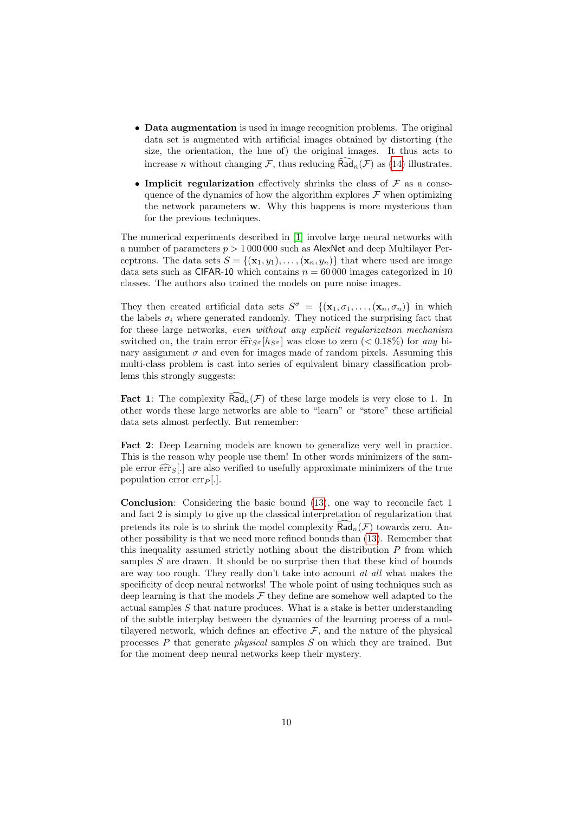- Data augmentation is used in image recognition problems. The original data set is augmented with artificial images obtained by distorting (the size, the orientation, the hue of) the original images. It thus acts to increase *n* without changing F, thus reducing  $\widehat{\text{Rad}}_n(F)$  as [\(14\)](#page-8-1) illustrates.
- Implicit regularization effectively shrinks the class of  $\mathcal F$  as a consequence of the dynamics of how the algorithm explores  $\mathcal F$  when optimizing the network parameters w. Why this happens is more mysterious than for the previous techniques.

The numerical experiments described in [\[1\]](#page-10-0) involve large neural networks with a number of parameters  $p > 1000000$  such as AlexNet and deep Multilayer Perceptrons. The data sets  $S = \{(\mathbf{x}_1, y_1), \ldots, (\mathbf{x}_n, y_n)\}\)$  that where used are image data sets such as CIFAR-10 which contains  $n = 60000$  images categorized in 10 classes. The authors also trained the models on pure noise images.

They then created artificial data sets  $S^{\sigma} = \{(\mathbf{x}_1, \sigma_1, \ldots, (\mathbf{x}_n, \sigma_n)\}\)$  in which the labels  $\sigma_i$  where generated randomly. They noticed the surprising fact that for these large networks, even without any explicit regularization mechanism switched on, the train error  $\widehat{\text{err}}_{S^{\sigma}}[h_{S^{\sigma}}]$  was close to zero (< 0.18%) for any binary assignment  $\sigma$  and even for images made of random pixels. Assuming this multi-class problem is cast into series of equivalent binary classification problems this strongly suggests:

**Fact 1:** The complexity  $\widehat{\text{Rad}}_n(\mathcal{F})$  of these large models is very close to 1. In other words these large networks are able to "learn" or "store" these artificial data sets almost perfectly. But remember:

Fact 2: Deep Learning models are known to generalize very well in practice. This is the reason why people use them! In other words minimizers of the sample error  $\widehat{\text{err}}_S$ . are also verified to usefully approximate minimizers of the true population error  $err_P$ [.].

Conclusion: Considering the basic bound [\(13\)](#page-7-2), one way to reconcile fact 1 and fact 2 is simply to give up the classical interpretation of regularization that pretends its role is to shrink the model complexity  $\widehat{Rad}_{n}(\mathcal{F})$  towards zero. Another possibility is that we need more refined bounds than [\(13\)](#page-7-2). Remember that this inequality assumed strictly nothing about the distribution  $P$  from which samples  $S$  are drawn. It should be no surprise then that these kind of bounds are way too rough. They really don't take into account at all what makes the specificity of deep neural networks! The whole point of using techniques such as deep learning is that the models  $\mathcal F$  they define are somehow well adapted to the actual samples  $S$  that nature produces. What is a stake is better understanding of the subtle interplay between the dynamics of the learning process of a multilayered network, which defines an effective  $\mathcal{F}$ , and the nature of the physical processes  $P$  that generate *physical* samples  $S$  on which they are trained. But for the moment deep neural networks keep their mystery.